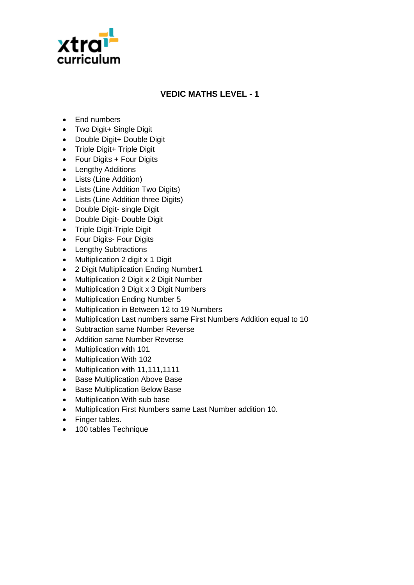

## **VEDIC MATHS LEVEL - 1**

- Fnd numbers
- Two Digit+ Single Digit
- Double Digit+ Double Digit
- Triple Digit+ Triple Digit
- Four Digits + Four Digits
- Lengthy Additions
- Lists (Line Addition)
- Lists (Line Addition Two Digits)
- Lists (Line Addition three Digits)
- Double Digit- single Digit
- Double Digit- Double Digit
- Triple Digit-Triple Digit
- Four Digits- Four Digits
- Lengthy Subtractions
- Multiplication 2 digit x 1 Digit
- 2 Digit Multiplication Ending Number1
- Multiplication 2 Digit x 2 Digit Number
- Multiplication 3 Digit x 3 Digit Numbers
- Multiplication Ending Number 5
- Multiplication in Between 12 to 19 Numbers
- Multiplication Last numbers same First Numbers Addition equal to 10
- Subtraction same Number Reverse
- Addition same Number Reverse
- Multiplication with 101
- Multiplication With 102
- Multiplication with 11,111,1111
- Base Multiplication Above Base
- Base Multiplication Below Base
- Multiplication With sub base
- Multiplication First Numbers same Last Number addition 10.
- Finger tables.
- 100 tables Technique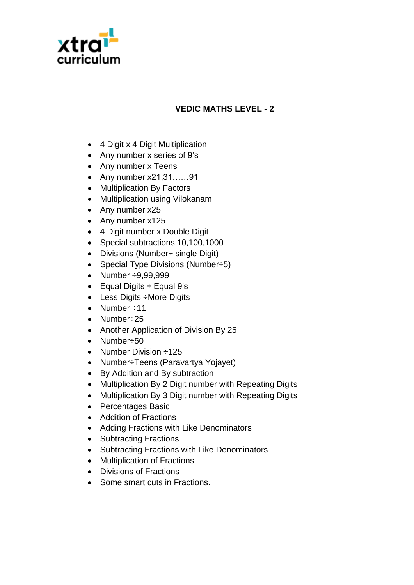

## **VEDIC MATHS LEVEL - 2**

- 4 Digit x 4 Digit Multiplication
- Any number x series of 9's
- Any number x Teens
- Any number x21,31……91
- Multiplication By Factors
- Multiplication using Vilokanam
- Any number x25
- Any number x125
- 4 Digit number x Double Digit
- Special subtractions 10,100,1000
- Divisions (Number÷ single Digit)
- Special Type Divisions (Number $\div 5$ )
- Number ÷9,99,999
- $\bullet$  Equal Digits ÷ Equal 9's
- Less Digits ÷More Digits
- Number  $\div 11$
- Number÷25
- Another Application of Division By 25
- Number÷50
- Number Division ÷125
- Number÷Teens (Paravartya Yojayet)
- By Addition and By subtraction
- Multiplication By 2 Digit number with Repeating Digits
- Multiplication By 3 Digit number with Repeating Digits
- Percentages Basic
- Addition of Fractions
- Adding Fractions with Like Denominators
- Subtracting Fractions
- Subtracting Fractions with Like Denominators
- Multiplication of Fractions
- Divisions of Fractions
- Some smart cuts in Fractions.